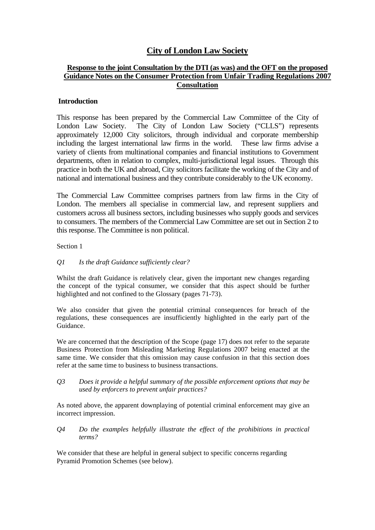# **City of London Law Society**

## **Response to the joint Consultation by the DTI (as was) and the OFT on the proposed Guidance Notes on the Consumer Protection from Unfair Trading Regulations 2007 Consultation**

### **Introduction**

This response has been prepared by the Commercial Law Committee of the City of London Law Society. The City of London Law Society ("CLLS") represents approximately 12,000 City solicitors, through individual and corporate membership including the largest international law firms in the world. These law firms advise a variety of clients from multinational companies and financial institutions to Government departments, often in relation to complex, multi-jurisdictional legal issues. Through this practice in both the UK and abroad, City solicitors facilitate the working of the City and of national and international business and they contribute considerably to the UK economy.

The Commercial Law Committee comprises partners from law firms in the City of London. The members all specialise in commercial law, and represent suppliers and customers across all business sectors, including businesses who supply goods and services to consumers. The members of the Commercial Law Committee are set out in Section 2 to this response. The Committee is non political.

Section 1

#### *Q1 Is the draft Guidance sufficiently clear?*

Whilst the draft Guidance is relatively clear, given the important new changes regarding the concept of the typical consumer, we consider that this aspect should be further highlighted and not confined to the Glossary (pages 71-73).

We also consider that given the potential criminal consequences for breach of the regulations, these consequences are insufficiently highlighted in the early part of the Guidance.

We are concerned that the description of the Scope (page 17) does not refer to the separate Business Protection from Misleading Marketing Regulations 2007 being enacted at the same time. We consider that this omission may cause confusion in that this section does refer at the same time to business to business transactions.

*Q3 Does it provide a helpful summary of the possible enforcement options that may be used by enforcers to prevent unfair practices?* 

As noted above, the apparent downplaying of potential criminal enforcement may give an incorrect impression.

*Q4 Do the examples helpfully illustrate the effect of the prohibitions in practical terms?* 

We consider that these are helpful in general subject to specific concerns regarding Pyramid Promotion Schemes (see below).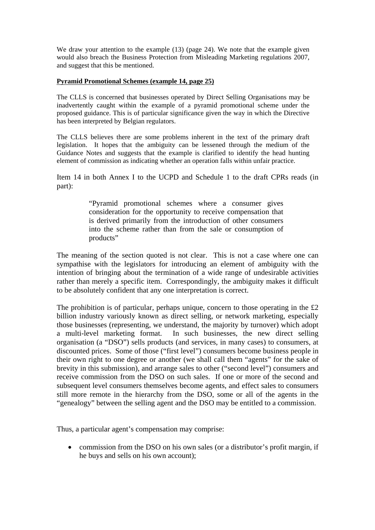We draw your attention to the example (13) (page 24). We note that the example given would also breach the Business Protection from Misleading Marketing regulations 2007, and suggest that this be mentioned.

#### **Pyramid Promotional Schemes (example 14, page 25)**

The CLLS is concerned that businesses operated by Direct Selling Organisations may be inadvertently caught within the example of a pyramid promotional scheme under the proposed guidance. This is of particular significance given the way in which the Directive has been interpreted by Belgian regulators.

The CLLS believes there are some problems inherent in the text of the primary draft legislation. It hopes that the ambiguity can be lessened through the medium of the Guidance Notes and suggests that the example is clarified to identify the head hunting element of commission as indicating whether an operation falls within unfair practice.

Item 14 in both Annex I to the UCPD and Schedule 1 to the draft CPRs reads (in part):

> "Pyramid promotional schemes where a consumer gives consideration for the opportunity to receive compensation that is derived primarily from the introduction of other consumers into the scheme rather than from the sale or consumption of products"

The meaning of the section quoted is not clear. This is not a case where one can sympathise with the legislators for introducing an element of ambiguity with the intention of bringing about the termination of a wide range of undesirable activities rather than merely a specific item. Correspondingly, the ambiguity makes it difficult to be absolutely confident that any one interpretation is correct.

The prohibition is of particular, perhaps unique, concern to those operating in the  $£2$ billion industry variously known as direct selling, or network marketing, especially those businesses (representing, we understand, the majority by turnover) which adopt a multi-level marketing format. In such businesses, the new direct selling organisation (a "DSO") sells products (and services, in many cases) to consumers, at discounted prices. Some of those ("first level") consumers become business people in their own right to one degree or another (we shall call them "agents" for the sake of brevity in this submission), and arrange sales to other ("second level") consumers and receive commission from the DSO on such sales. If one or more of the second and subsequent level consumers themselves become agents, and effect sales to consumers still more remote in the hierarchy from the DSO, some or all of the agents in the "genealogy" between the selling agent and the DSO may be entitled to a commission.

Thus, a particular agent's compensation may comprise:

• commission from the DSO on his own sales (or a distributor's profit margin, if he buys and sells on his own account);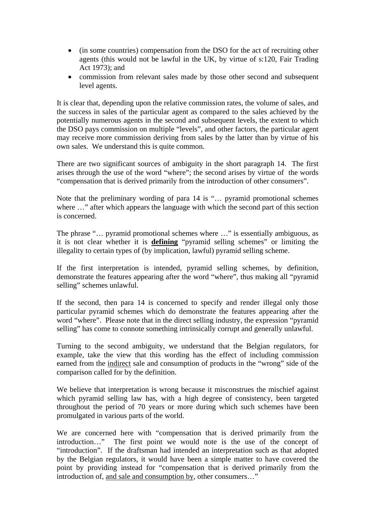- (in some countries) compensation from the DSO for the act of recruiting other agents (this would not be lawful in the UK, by virtue of s:120, Fair Trading Act 1973); and
- commission from relevant sales made by those other second and subsequent level agents.

It is clear that, depending upon the relative commission rates, the volume of sales, and the success in sales of the particular agent as compared to the sales achieved by the potentially numerous agents in the second and subsequent levels, the extent to which the DSO pays commission on multiple "levels", and other factors, the particular agent may receive more commission deriving from sales by the latter than by virtue of his own sales. We understand this is quite common.

There are two significant sources of ambiguity in the short paragraph 14. The first arises through the use of the word "where"; the second arises by virtue of the words "compensation that is derived primarily from the introduction of other consumers".

Note that the preliminary wording of para 14 is "… pyramid promotional schemes where  $\ldots$ " after which appears the language with which the second part of this section is concerned.

The phrase "… pyramid promotional schemes where …" is essentially ambiguous, as it is not clear whether it is **defining** "pyramid selling schemes" or limiting the illegality to certain types of (by implication, lawful) pyramid selling scheme.

If the first interpretation is intended, pyramid selling schemes, by definition, demonstrate the features appearing after the word "where", thus making all "pyramid selling" schemes unlawful.

If the second, then para 14 is concerned to specify and render illegal only those particular pyramid schemes which do demonstrate the features appearing after the word "where". Please note that in the direct selling industry, the expression "pyramid selling" has come to connote something intrinsically corrupt and generally unlawful.

Turning to the second ambiguity, we understand that the Belgian regulators, for example, take the view that this wording has the effect of including commission earned from the indirect sale and consumption of products in the "wrong" side of the comparison called for by the definition.

We believe that interpretation is wrong because it misconstrues the mischief against which pyramid selling law has, with a high degree of consistency, been targeted throughout the period of 70 years or more during which such schemes have been promulgated in various parts of the world.

We are concerned here with "compensation that is derived primarily from the introduction…" The first point we would note is the use of the concept of "introduction". If the draftsman had intended an interpretation such as that adopted by the Belgian regulators, it would have been a simple matter to have covered the point by providing instead for "compensation that is derived primarily from the introduction of, and sale and consumption by, other consumers…"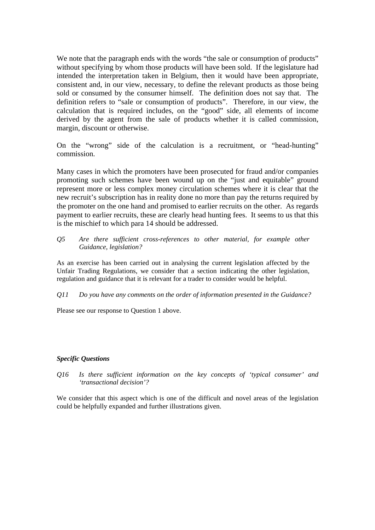We note that the paragraph ends with the words "the sale or consumption of products" without specifying by whom those products will have been sold. If the legislature had intended the interpretation taken in Belgium, then it would have been appropriate, consistent and, in our view, necessary, to define the relevant products as those being sold or consumed by the consumer himself. The definition does not say that. The definition refers to "sale or consumption of products". Therefore, in our view, the calculation that is required includes, on the "good" side, all elements of income derived by the agent from the sale of products whether it is called commission, margin, discount or otherwise.

On the "wrong" side of the calculation is a recruitment, or "head-hunting" commission.

Many cases in which the promoters have been prosecuted for fraud and/or companies promoting such schemes have been wound up on the "just and equitable" ground represent more or less complex money circulation schemes where it is clear that the new recruit's subscription has in reality done no more than pay the returns required by the promoter on the one hand and promised to earlier recruits on the other. As regards payment to earlier recruits, these are clearly head hunting fees. It seems to us that this is the mischief to which para 14 should be addressed.

*Q5 Are there sufficient cross-references to other material, for example other Guidance, legislation?*

As an exercise has been carried out in analysing the current legislation affected by the Unfair Trading Regulations, we consider that a section indicating the other legislation, regulation and guidance that it is relevant for a trader to consider would be helpful.

*Q11 Do you have any comments on the order of information presented in the Guidance?* 

Please see our response to Question 1 above.

#### *Specific Questions*

*Q16 Is there sufficient information on the key concepts of 'typical consumer' and 'transactional decision'?*

We consider that this aspect which is one of the difficult and novel areas of the legislation could be helpfully expanded and further illustrations given.